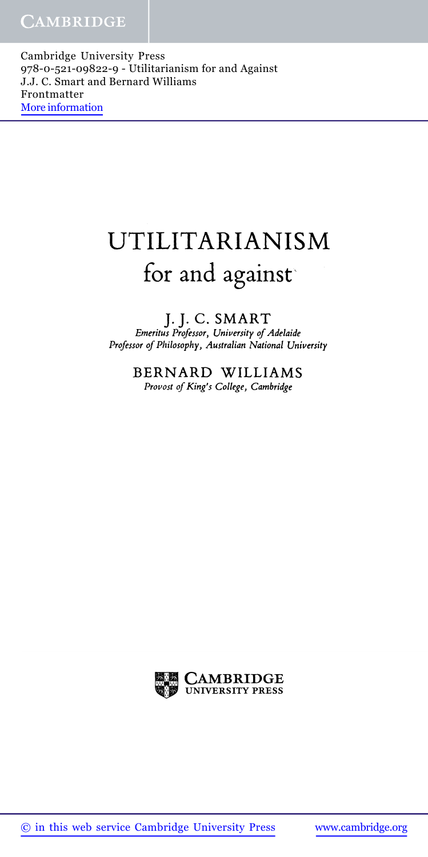Cambridge University Press 978-0-521-09822-9 - Utilitarianism for and Against J.J. C. Smart and Bernard Williams Frontmatter More information

## UTILITARIANISM for and against

J.J. C. SMART *Emeritus Professor, University of Adelaide Professor of Philosophy, Australian National University*

> BERNARD WILLIAMS *Provost of King's College, Cambridge*

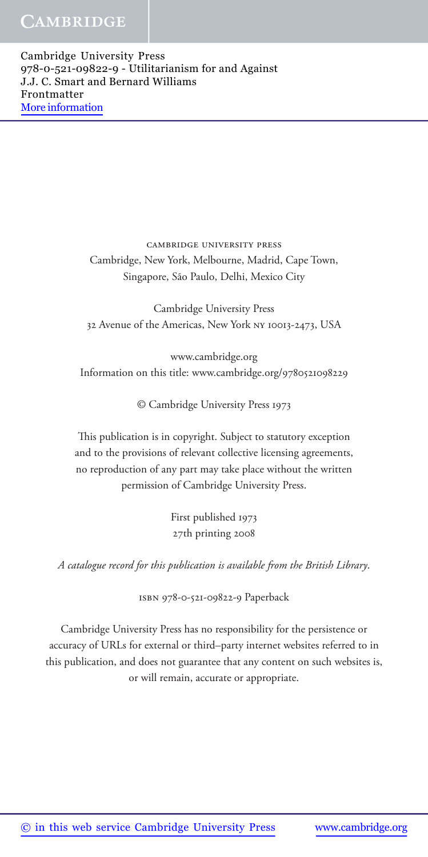Cambridge University Press 978-0-521-09822-9 - Utilitarianism for and Against J.J. C. Smart and Bernard Williams Frontmatter More information

> cambridge university press Cambridge, New York, Melbourne, Madrid, Cape Town, Singapore, São Paulo, Delhi, Mexico City

Cambridge University Press 32 Avenue of the Americas, New York ny 10013-2473, USA

www.cambridge.org Information on this title: www.cambridge.org/9780521098229

© Cambridge University Press 1973

This publication is in copyright. Subject to statutory exception and to the provisions of relevant collective licensing agreements, no reproduction of any part may take place without the written permission of Cambridge University Press.

> First published 1973 27th printing 2008

*A catalogue record for this publication is available from the British Library*.

isbn 978-0-521-09822-9 Paperback

Cambridge University Press has no responsibility for the persistence or accuracy of URLs for external or third–party internet websites referred to in this publication, and does not guarantee that any content on such websites is, or will remain, accurate or appropriate.